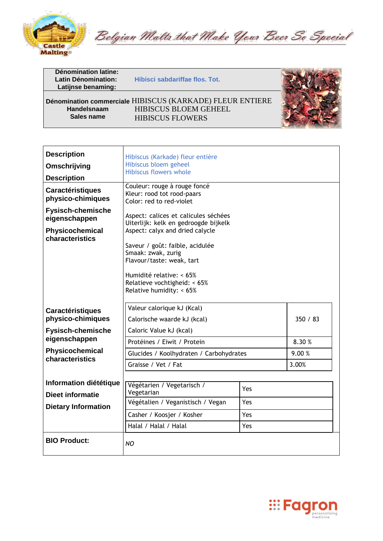

Belgian Malts that Make Your Beer So Special

| Dénomination latine:<br><b>Latin Dénomination:</b><br>Latijnse benaming: | Hibisci sabdariffae flos. Tot.                            |  |
|--------------------------------------------------------------------------|-----------------------------------------------------------|--|
|                                                                          | Dénomination commerciale HIBISCUS (KARKADE) FLEUR ENTIERE |  |
| Handelsnaam<br>Sales name                                                | <b>HIBISCUS BLOEM GEHEEL</b><br><b>HIBISCUS FLOWERS</b>   |  |

| <b>Description</b><br>Omschrijving<br><b>Description</b><br><b>Caractéristiques</b><br>physico-chimiques<br><b>Fysisch-chemische</b><br>eigenschappen<br>Physicochemical<br>characteristics | Hibiscus (Karkade) fleur entière<br>Hibiscus bloem geheel<br>Hibiscus flowers whole<br>Couleur: rouge à rouge foncé<br>Kleur: rood tot rood-paars<br>Color: red to red-violet<br>Aspect: calices et calicules séchées<br>Uiterlijk: kelk en gedroogde bijkelk<br>Aspect: calyx and dried calycle<br>Saveur / goût: faible, acidulée<br>Smaak: zwak, zurig<br>Flavour/taste: weak, tart<br>Humidité relative: < 65%<br>Relatieve vochtigheid: < 65%<br>Relative humidity: < 65% |                          |          |
|---------------------------------------------------------------------------------------------------------------------------------------------------------------------------------------------|--------------------------------------------------------------------------------------------------------------------------------------------------------------------------------------------------------------------------------------------------------------------------------------------------------------------------------------------------------------------------------------------------------------------------------------------------------------------------------|--------------------------|----------|
| <b>Caractéristiques</b><br>physico-chimiques                                                                                                                                                | Valeur calorique kJ (Kcal)<br>Calorische waarde kJ (kcal)                                                                                                                                                                                                                                                                                                                                                                                                                      |                          | 350 / 83 |
| <b>Fysisch-chemische</b>                                                                                                                                                                    | Caloric Value kJ (kcal)                                                                                                                                                                                                                                                                                                                                                                                                                                                        |                          |          |
| eigenschappen                                                                                                                                                                               | Protéines / Eiwit / Protein                                                                                                                                                                                                                                                                                                                                                                                                                                                    |                          | 8.30%    |
| Physicochemical<br>characteristics                                                                                                                                                          | Glucides / Koolhydraten / Carbohydrates                                                                                                                                                                                                                                                                                                                                                                                                                                        |                          | 9.00 %   |
|                                                                                                                                                                                             | Graisse / Vet / Fat                                                                                                                                                                                                                                                                                                                                                                                                                                                            |                          | 3.00%    |
| Information diététique<br><b>Dieet informatie</b><br><b>Dietary Information</b>                                                                                                             | Végétarien / Vegetarisch /<br>Vegetarian<br>Végétalien / Veganistisch / Vegan<br>Casher / Koosjer / Kosher<br>Halal / Halal / Halal                                                                                                                                                                                                                                                                                                                                            | Yes<br>Yes<br>Yes<br>Yes |          |
| <b>BIO Product:</b>                                                                                                                                                                         | NO                                                                                                                                                                                                                                                                                                                                                                                                                                                                             |                          |          |



 $\mathbb{C}/\mathbb{C}$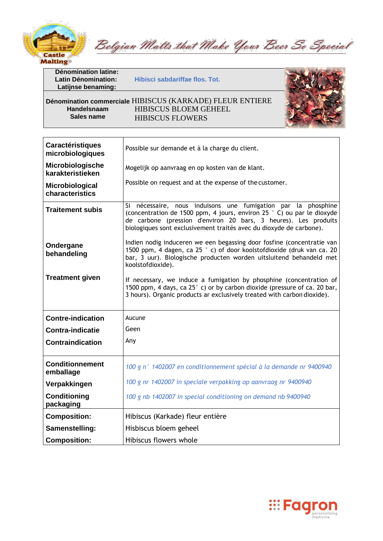

Belgian Malts that Make Your Beer So Special

**Latin Dénomination: Hibisci sabdariffae flos. Tot.** 





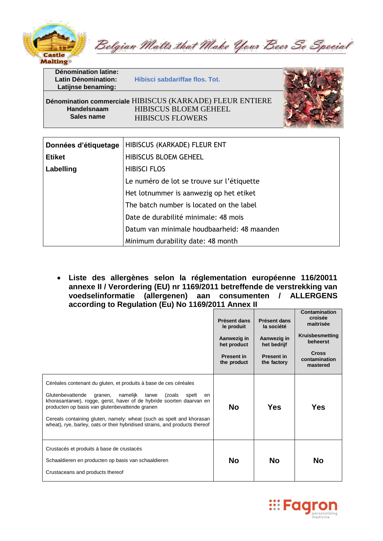

Belgian Malts that Make Your Beer So Special

**Latin Dénomination: Hibisci sabdariffae flos. Tot.** 



**Pénomination commerciale HIBISCUS (KARKADE) FLEUR ENTIERE<br>
<b>HIBISCUS BLOEM GEHEEL Handelsnaam** HIBISCUS BLOEM GEHEEL<br> **Sales name** HIBISCUS ELOWERS **HIBISCUS FLOWERS** 

| Données d'étiquetage | HIBISCUS (KARKADE) FLEUR ENT                |
|----------------------|---------------------------------------------|
| <b>Etiket</b>        | <b>HIBISCUS BLOEM GEHEEL</b>                |
| Labelling            | <b>HIBISCI FLOS</b>                         |
|                      | Le numéro de lot se trouve sur l'étiquette  |
|                      | Het lotnummer is aanwezig op het etiket     |
|                      | The batch number is located on the label    |
|                      | Date de durabilité minimale: 48 mois        |
|                      | Datum van minimale houdbaarheid: 48 maanden |
|                      | Minimum durability date: 48 month           |

• **Liste des allergènes selon la réglementation européenne 116/20011 annexe II / Verordering (EU) nr 1169/2011 betreffende de verstrekking van voedselinformatie (allergenen) aan consumenten / ALLERGENS according to Regulation (Eu) No 1169/2011 Annex II**

|                                                                                                                                                                                                                                                                                                                                                                                                                                | Présent dans<br>le produit<br>Aanwezig in<br>het product<br><b>Present in</b><br>the product | Présent dans<br>la société<br>Aanwezig in<br>het bedrijf<br><b>Present in</b><br>the factory | Contamination<br>croisée<br>maitrisée<br>Kruisbesmetting<br>beheerst<br><b>Cross</b><br>contamination<br>mastered |
|--------------------------------------------------------------------------------------------------------------------------------------------------------------------------------------------------------------------------------------------------------------------------------------------------------------------------------------------------------------------------------------------------------------------------------|----------------------------------------------------------------------------------------------|----------------------------------------------------------------------------------------------|-------------------------------------------------------------------------------------------------------------------|
| Céréales contenant du gluten, et produits à base de ces céréales<br>Glutenbevattende<br>namelijk<br>tarwe<br>granen,<br>(zoals<br>spelt<br>en<br>khorasantarwe), rogge, gerst, haver of de hybride soorten daarvan en<br>producten op basis van glutenbevattende granen<br>Cereals containing gluten, namely: wheat (such as spelt and khorasan<br>wheat), rye, barley, oats or their hybridised strains, and products thereof | No                                                                                           | Yes                                                                                          | Yes                                                                                                               |
| Crustacés et produits à base de crustacés<br>Schaaldieren en producten op basis van schaaldieren<br>Crustaceans and products thereof                                                                                                                                                                                                                                                                                           | No                                                                                           | No.                                                                                          | No                                                                                                                |

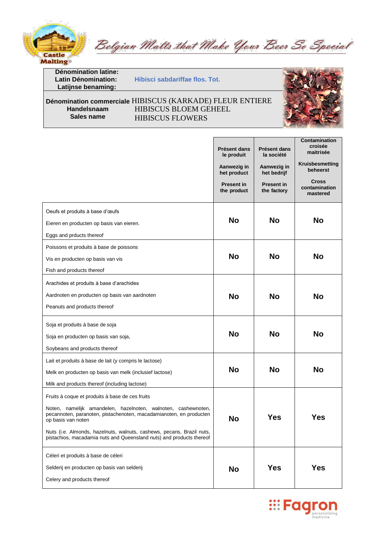

Belgian Malts that Make Your Beer So Special

**Latin Dénomination: Hibisci sabdariffae flos. Tot.** 

### **Dénomination commerciale HIBISCUS (KARKADE) FLEUR ENTIERE<br>
HIBISCUS BLOEM GEHEEL Francelsnaam FRANGELOUS BLOEM GEHEEL<br>
<b>Sales name** FRANGELIS ELOWERS **HIBISCUS FLOWERS**





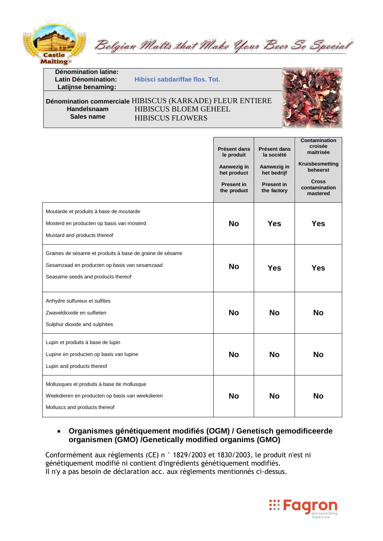

Belgian Malts that Make Your Beer So Special

**Latin Dénomination: Hibisci sabdariffae flos. Tot.** 

#### **Dénomination commerciale HIBISCUS (KARKADE) FLEUR ENTIERE<br>
HIBISCUS BLOEM GEHEEL Handelsnaam** HIBISCUS BLOEM GEHEEL<br>Sales name<br>HIBISCUS ELOWERS **HIBISCUS FLOWERS**



# • **Organismes génétiquement modifiés (OGM) / Genetisch gemodificeerde organismen (GMO) /Genetically modified organims (GMO)**

Conformément aux règlements (CE) n ° 1829/2003 et 1830/2003, le produit n'est ni génétiquement modifié ni contient d'ingrédients génétiquement modifiés. Il n'y a pas besoin de déclaration acc. aux règlements mentionnés ci-dessus.

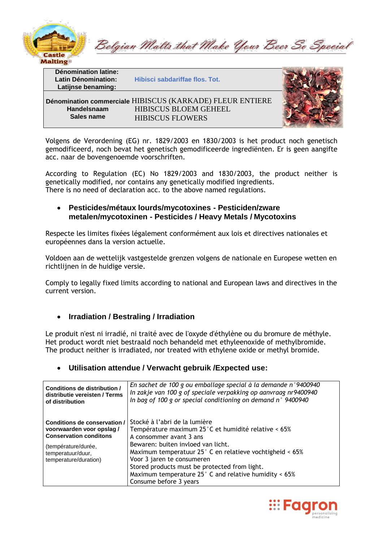

Belgian Malts that Make Your Beer So Special

**Latin Dénomination: Hibisci sabdariffae flos. Tot.** 



**Pénomination commerciale HIBISCUS (KARKADE) FLEUR ENTIERE<br>
<b>HIBISCUS BLOEM GEHEEL Handelsnaam** HIBISCUS BLOEM GEHEEL<br>Sales name<br>HIBISCUS ELOWERS **HIBISCUS FLOWERS** 

Volgens de Verordening (EG) nr. 1829/2003 en 1830/2003 is het product noch genetisch gemodificeerd, noch bevat het genetisch gemodificeerde ingrediënten. Er is geen aangifte acc. naar de bovengenoemde voorschriften.

According to Regulation (EC) No 1829/2003 and 1830/2003, the product neither is genetically modified, nor contains any genetically modified ingredients. There is no need of declaration acc. to the above named regulations.

### • **Pesticides/métaux lourds/mycotoxines - Pesticiden/zware metalen/mycotoxinen - Pesticides / Heavy Metals / Mycotoxins**

Respecte les limites fixées légalement conformément aux lois et directives nationales et européennes dans la version actuelle.

Voldoen aan de wettelijk vastgestelde grenzen volgens de nationale en Europese wetten en richtlijnen in de huidige versie.

Comply to legally fixed limits according to national and European laws and directives in the current version.

# • **Irradiation / Bestraling / Irradiation**

Le produit n'est ni irradié, ni traité avec de l'oxyde d'éthylène ou du bromure de méthyle. Het product wordt niet bestraald noch behandeld met ethyleenoxide of methylbromide. The product neither is irradiated, nor treated with ethylene oxide or methyl bromide.

# • **Utilisation attendue / Verwacht gebruik /Expected use:**

| Conditions de distribution /                                                                                                                                   | En sachet de 100 g ou emballage special à la demande n°9400940                                                                                                                                                                                                                                                                                                                                        |
|----------------------------------------------------------------------------------------------------------------------------------------------------------------|-------------------------------------------------------------------------------------------------------------------------------------------------------------------------------------------------------------------------------------------------------------------------------------------------------------------------------------------------------------------------------------------------------|
| distributie vereisten / Terms                                                                                                                                  | In zakje van 100 g of speciale verpakking op aanvraag nr9400940                                                                                                                                                                                                                                                                                                                                       |
| of distribution                                                                                                                                                | In bag of 100 g or special conditioning on demand $n^{\circ}$ 9400940                                                                                                                                                                                                                                                                                                                                 |
| Conditions de conservation /<br>voorwaarden voor opslag/<br><b>Conservation conditons</b><br>(température/durée,<br>temperatuur/duur,<br>temperature/duration) | Stocké à l'abri de la lumière<br>Température maximum 25°C et humidité relative < 65%<br>A consommer avant 3 ans<br>Bewaren: buiten invloed van licht.<br>Maximum temperatuur $25^{\circ}$ C en relatieve vochtigheid < 65%<br>Voor 3 jaren te consumeren<br>Stored products must be protected from light.<br>Maximum temperature $25^{\circ}$ C and relative humidity < 65%<br>Consume before 3 years |

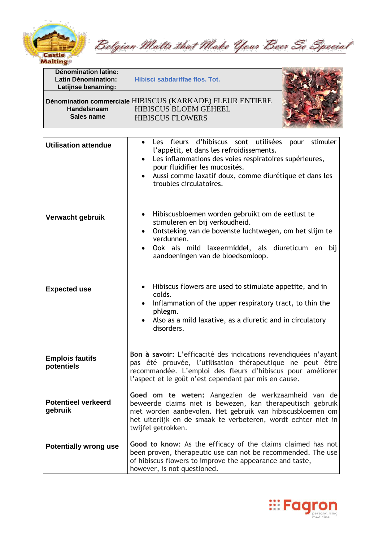

Belgian Malts that Make Your Beer So Special

**Latin Dénomination: Hibisci sabdariffae flos. Tot.** 

**HIBISCUS FLOWERS** 

**Handelsnaam** HIBISCUS BLOEM GEHEEL<br> **Sales name** HIBISCUS ELOWERS



| <b>Utilisation attendue</b>           | stimuler<br>Les fleurs d'hibiscus sont utilisées<br>pour<br>l'appétit, et dans les refroidissements.<br>Les inflammations des voies respiratoires supérieures,<br>pour fluidifier les mucosités.<br>Aussi comme laxatif doux, comme diurétique et dans les<br>troubles circulatoires. |
|---------------------------------------|---------------------------------------------------------------------------------------------------------------------------------------------------------------------------------------------------------------------------------------------------------------------------------------|
| Verwacht gebruik                      | Hibiscusbloemen worden gebruikt om de eetlust te<br>$\bullet$<br>stimuleren en bij verkoudheid.<br>Ontsteking van de bovenste luchtwegen, om het slijm te<br>$\bullet$<br>verdunnen.<br>Ook als mild laxeermiddel, als diureticum en<br>bij<br>aandoeningen van de bloedsomloop.      |
| <b>Expected use</b>                   | Hibiscus flowers are used to stimulate appetite, and in<br>colds.<br>Inflammation of the upper respiratory tract, to thin the<br>phlegm.<br>Also as a mild laxative, as a diuretic and in circulatory<br>disorders.                                                                   |
| <b>Emplois fautifs</b><br>potentiels  | Bon à savoir: L'efficacité des indications revendiquées n'ayant<br>pas été prouvée, l'utilisation thérapeutique ne peut être<br>recommandée. L'emploi des fleurs d'hibiscus pour améliorer<br>l'aspect et le goût n'est cependant par mis en cause.                                   |
| <b>Potentieel verkeerd</b><br>gebruik | Goed om te weten: Aangezien de werkzaamheid van de<br>beweerde claims niet is bewezen, kan therapeutisch gebruik<br>niet worden aanbevolen. Het gebruik van hibiscusbloemen om<br>het uiterlijk en de smaak te verbeteren, wordt echter niet in<br>twijfel getrokken.                 |
| <b>Potentially wrong use</b>          | Good to know: As the efficacy of the claims claimed has not<br>been proven, therapeutic use can not be recommended. The use<br>of hibiscus flowers to improve the appearance and taste,<br>however, is not questioned.                                                                |